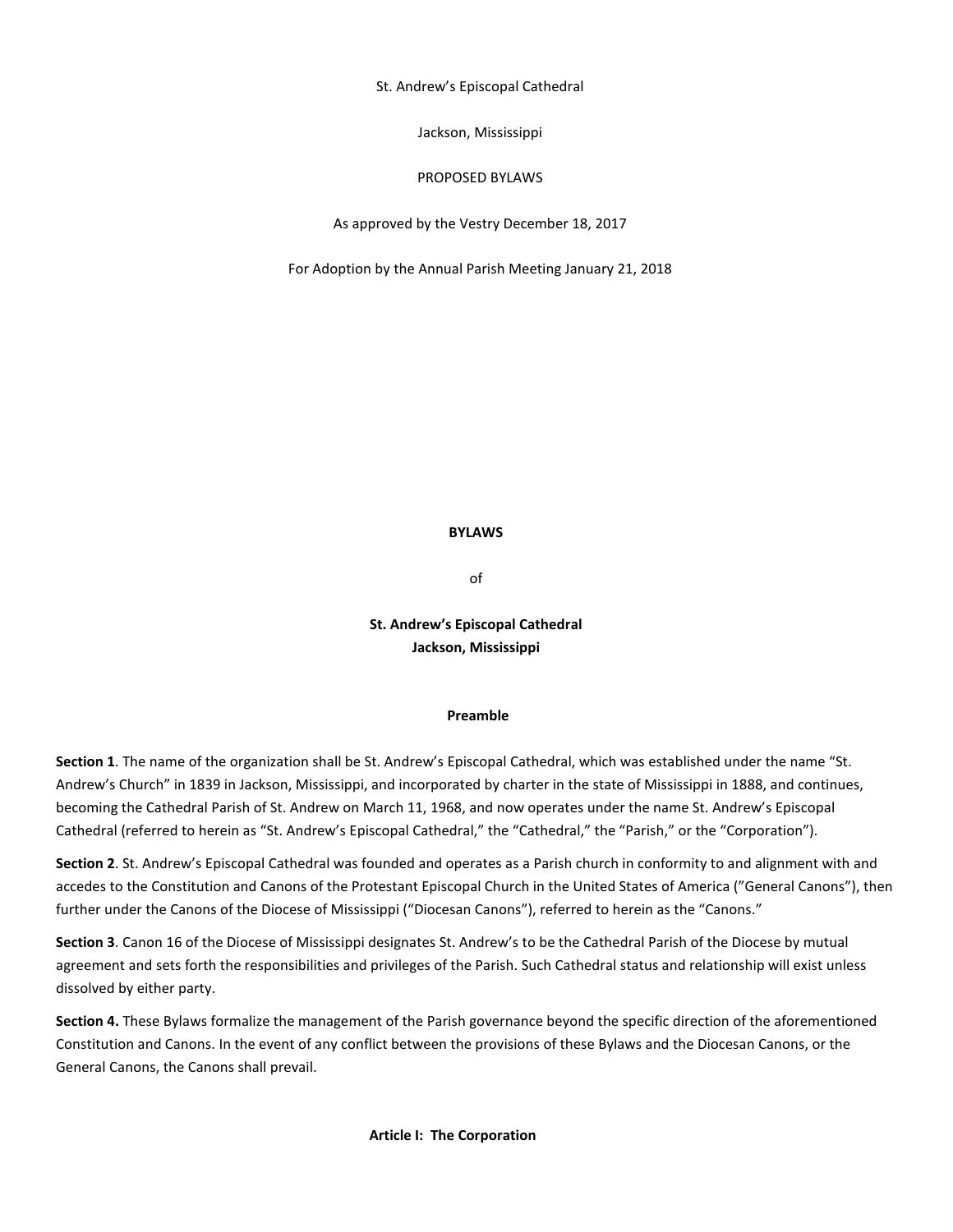St. Andrew's Episcopal Cathedral

Jackson, Mississippi

### PROPOSED BYLAWS

As approved by the Vestry December 18, 2017

For Adoption by the Annual Parish Meeting January 21, 2018

#### **BYLAWS**

of

# **St. Andrew's Episcopal Cathedral Jackson, Mississippi**

#### **Preamble**

**Section 1**. The name of the organization shall be St. Andrew's Episcopal Cathedral, which was established under the name "St. Andrew's Church" in 1839 in Jackson, Mississippi, and incorporated by charter in the state of Mississippi in 1888, and continues, becoming the Cathedral Parish of St. Andrew on March 11, 1968, and now operates under the name St. Andrew's Episcopal Cathedral (referred to herein as "St. Andrew's Episcopal Cathedral," the "Cathedral," the "Parish," or the "Corporation").

**Section 2**. St. Andrew's Episcopal Cathedral was founded and operates as a Parish church in conformity to and alignment with and accedes to the Constitution and Canons of the Protestant Episcopal Church in the United States of America ("General Canons"), then further under the Canons of the Diocese of Mississippi ("Diocesan Canons"), referred to herein as the "Canons."

**Section 3**. Canon 16 of the Diocese of Mississippi designates St. Andrew's to be the Cathedral Parish of the Diocese by mutual agreement and sets forth the responsibilities and privileges of the Parish. Such Cathedral status and relationship will exist unless dissolved by either party.

**Section 4.** These Bylaws formalize the management of the Parish governance beyond the specific direction of the aforementioned Constitution and Canons. In the event of any conflict between the provisions of these Bylaws and the Diocesan Canons, or the General Canons, the Canons shall prevail.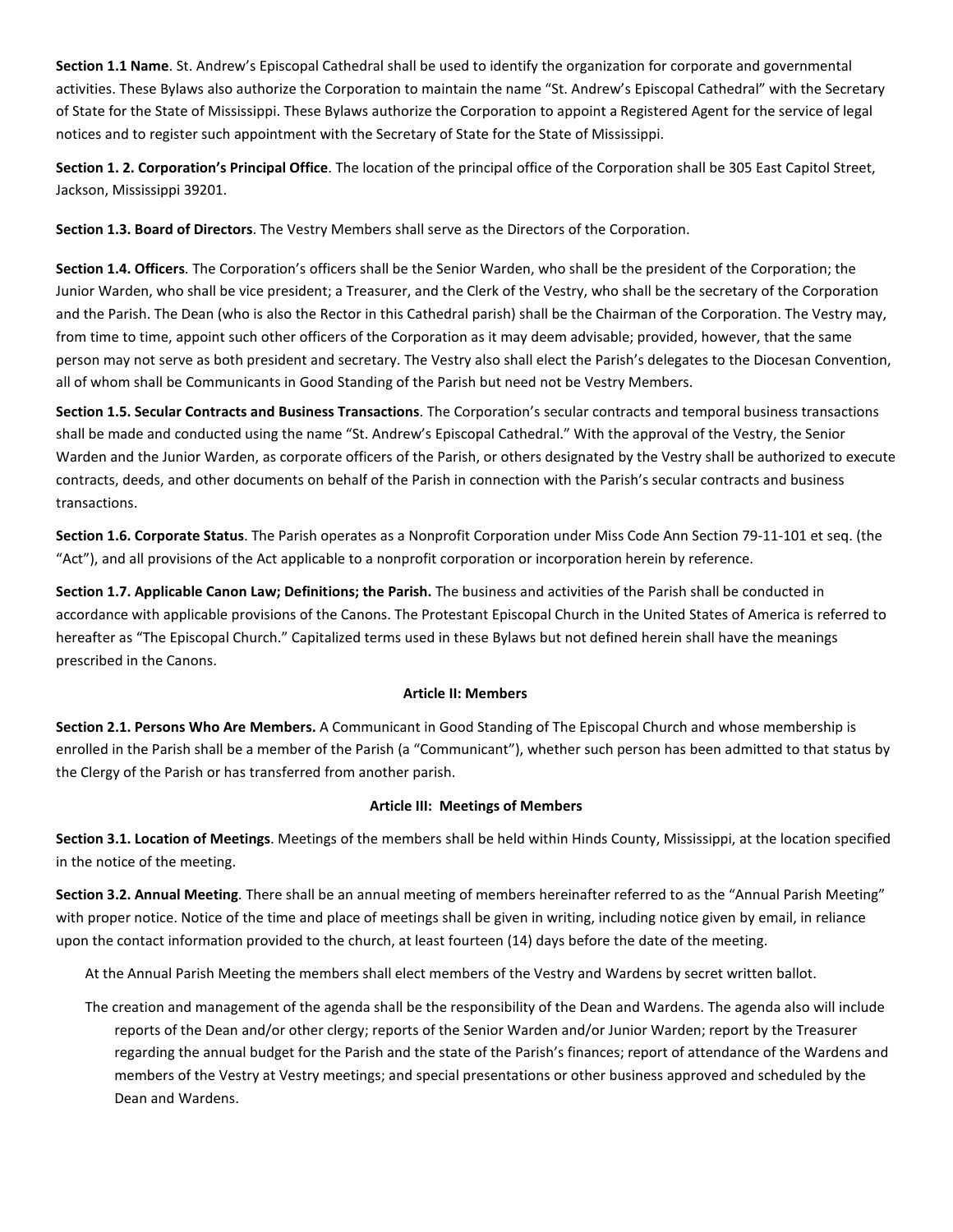**Section 1.1 Name**. St. Andrew's Episcopal Cathedral shall be used to identify the organization for corporate and governmental activities. These Bylaws also authorize the Corporation to maintain the name "St. Andrew's Episcopal Cathedral" with the Secretary of State for the State of Mississippi. These Bylaws authorize the Corporation to appoint a Registered Agent for the service of legal notices and to register such appointment with the Secretary of State for the State of Mississippi.

**Section 1. 2. Corporation's Principal Office**. The location of the principal office of the Corporation shall be 305 East Capitol Street, Jackson, Mississippi 39201.

**Section 1.3. Board of Directors**. The Vestry Members shall serve as the Directors of the Corporation.

**Section 1.4. Officers**. The Corporation's officers shall be the Senior Warden, who shall be the president of the Corporation; the Junior Warden, who shall be vice president; a Treasurer, and the Clerk of the Vestry, who shall be the secretary of the Corporation and the Parish. The Dean (who is also the Rector in this Cathedral parish) shall be the Chairman of the Corporation. The Vestry may, from time to time, appoint such other officers of the Corporation as it may deem advisable; provided, however, that the same person may not serve as both president and secretary. The Vestry also shall elect the Parish's delegates to the Diocesan Convention, all of whom shall be Communicants in Good Standing of the Parish but need not be Vestry Members.

**Section 1.5. Secular Contracts and Business Transactions**. The Corporation's secular contracts and temporal business transactions shall be made and conducted using the name "St. Andrew's Episcopal Cathedral." With the approval of the Vestry, the Senior Warden and the Junior Warden, as corporate officers of the Parish, or others designated by the Vestry shall be authorized to execute contracts, deeds, and other documents on behalf of the Parish in connection with the Parish's secular contracts and business transactions.

**Section 1.6. Corporate Status**. The Parish operates as a Nonprofit Corporation under Miss Code Ann Section 79-11-101 et seq. (the "Act"), and all provisions of the Act applicable to a nonprofit corporation or incorporation herein by reference.

**Section 1.7. Applicable Canon Law; Definitions; the Parish.** The business and activities of the Parish shall be conducted in accordance with applicable provisions of the Canons. The Protestant Episcopal Church in the United States of America is referred to hereafter as "The Episcopal Church." Capitalized terms used in these Bylaws but not defined herein shall have the meanings prescribed in the Canons.

## **Article II: Members**

**Section 2.1. Persons Who Are Members.** A Communicant in Good Standing of The Episcopal Church and whose membership is enrolled in the Parish shall be a member of the Parish (a "Communicant"), whether such person has been admitted to that status by the Clergy of the Parish or has transferred from another parish.

# **Article III: Meetings of Members**

**Section 3.1. Location of Meetings**. Meetings of the members shall be held within Hinds County, Mississippi, at the location specified in the notice of the meeting.

**Section 3.2. Annual Meeting**. There shall be an annual meeting of members hereinafter referred to as the "Annual Parish Meeting" with proper notice. Notice of the time and place of meetings shall be given in writing, including notice given by email, in reliance upon the contact information provided to the church, at least fourteen (14) days before the date of the meeting.

At the Annual Parish Meeting the members shall elect members of the Vestry and Wardens by secret written ballot.

The creation and management of the agenda shall be the responsibility of the Dean and Wardens. The agenda also will include reports of the Dean and/or other clergy; reports of the Senior Warden and/or Junior Warden; report by the Treasurer regarding the annual budget for the Parish and the state of the Parish's finances; report of attendance of the Wardens and members of the Vestry at Vestry meetings; and special presentations or other business approved and scheduled by the Dean and Wardens.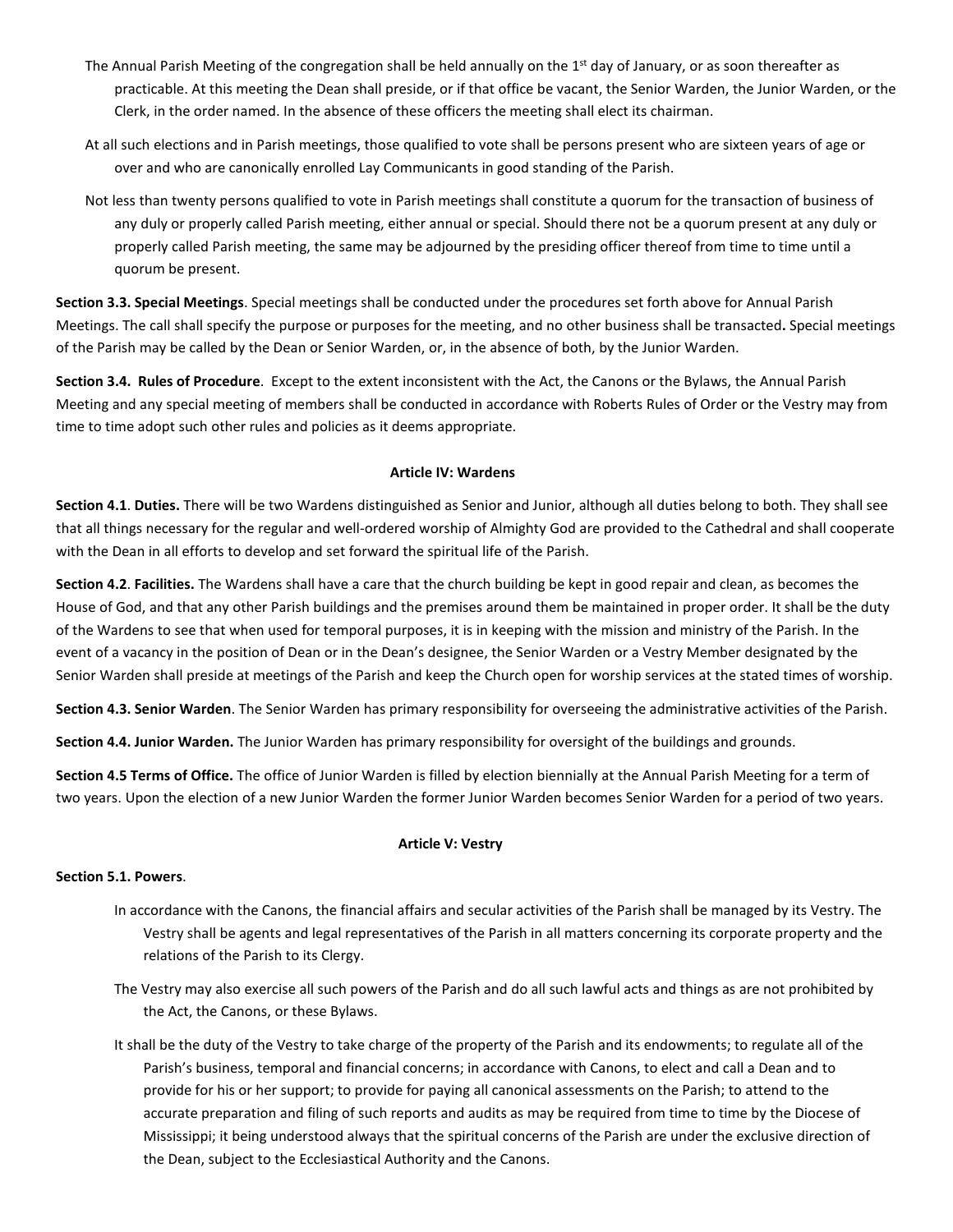- The Annual Parish Meeting of the congregation shall be held annually on the  $1<sup>st</sup>$  day of January, or as soon thereafter as practicable. At this meeting the Dean shall preside, or if that office be vacant, the Senior Warden, the Junior Warden, or the Clerk, in the order named. In the absence of these officers the meeting shall elect its chairman.
- At all such elections and in Parish meetings, those qualified to vote shall be persons present who are sixteen years of age or over and who are canonically enrolled Lay Communicants in good standing of the Parish.
- Not less than twenty persons qualified to vote in Parish meetings shall constitute a quorum for the transaction of business of any duly or properly called Parish meeting, either annual or special. Should there not be a quorum present at any duly or properly called Parish meeting, the same may be adjourned by the presiding officer thereof from time to time until a quorum be present.

**Section 3.3. Special Meetings**. Special meetings shall be conducted under the procedures set forth above for Annual Parish Meetings. The call shall specify the purpose or purposes for the meeting, and no other business shall be transacted**.** Special meetings of the Parish may be called by the Dean or Senior Warden, or, in the absence of both, by the Junior Warden.

**Section 3.4. Rules of Procedure**. Except to the extent inconsistent with the Act, the Canons or the Bylaws, the Annual Parish Meeting and any special meeting of members shall be conducted in accordance with Roberts Rules of Order or the Vestry may from time to time adopt such other rules and policies as it deems appropriate.

## **Article IV: Wardens**

**Section 4.1**. **Duties.** There will be two Wardens distinguished as Senior and Junior, although all duties belong to both. They shall see that all things necessary for the regular and well-ordered worship of Almighty God are provided to the Cathedral and shall cooperate with the Dean in all efforts to develop and set forward the spiritual life of the Parish.

**Section 4.2**. **Facilities.** The Wardens shall have a care that the church building be kept in good repair and clean, as becomes the House of God, and that any other Parish buildings and the premises around them be maintained in proper order. It shall be the duty of the Wardens to see that when used for temporal purposes, it is in keeping with the mission and ministry of the Parish. In the event of a vacancy in the position of Dean or in the Dean's designee, the Senior Warden or a Vestry Member designated by the Senior Warden shall preside at meetings of the Parish and keep the Church open for worship services at the stated times of worship.

**Section 4.3. Senior Warden**. The Senior Warden has primary responsibility for overseeing the administrative activities of the Parish.

**Section 4.4. Junior Warden.** The Junior Warden has primary responsibility for oversight of the buildings and grounds.

**Section 4.5 Terms of Office.** The office of Junior Warden is filled by election biennially at the Annual Parish Meeting for a term of two years. Upon the election of a new Junior Warden the former Junior Warden becomes Senior Warden for a period of two years.

### **Article V: Vestry**

### **Section 5.1. Powers**.

- In accordance with the Canons, the financial affairs and secular activities of the Parish shall be managed by its Vestry. The Vestry shall be agents and legal representatives of the Parish in all matters concerning its corporate property and the relations of the Parish to its Clergy.
- The Vestry may also exercise all such powers of the Parish and do all such lawful acts and things as are not prohibited by the Act, the Canons, or these Bylaws.
- It shall be the duty of the Vestry to take charge of the property of the Parish and its endowments; to regulate all of the Parish's business, temporal and financial concerns; in accordance with Canons, to elect and call a Dean and to provide for his or her support; to provide for paying all canonical assessments on the Parish; to attend to the accurate preparation and filing of such reports and audits as may be required from time to time by the Diocese of Mississippi; it being understood always that the spiritual concerns of the Parish are under the exclusive direction of the Dean, subject to the Ecclesiastical Authority and the Canons.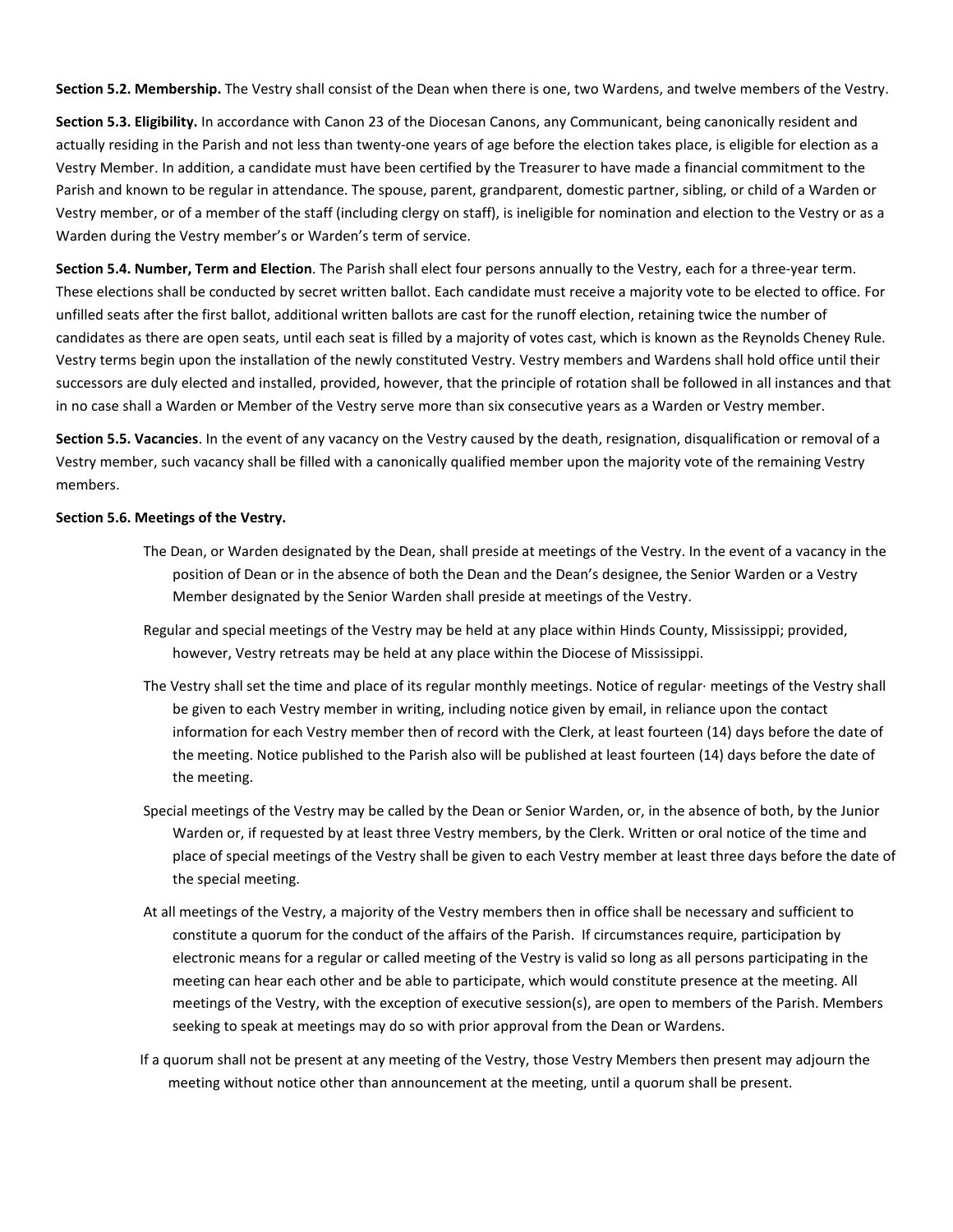**Section 5.2. Membership.** The Vestry shall consist of the Dean when there is one, two Wardens, and twelve members of the Vestry.

**Section 5.3. Eligibility.** In accordance with Canon 23 of the Diocesan Canons, any Communicant, being canonically resident and actually residing in the Parish and not less than twenty-one years of age before the election takes place, is eligible for election as a Vestry Member. In addition, a candidate must have been certified by the Treasurer to have made a financial commitment to the Parish and known to be regular in attendance. The spouse, parent, grandparent, domestic partner, sibling, or child of a Warden or Vestry member, or of a member of the staff (including clergy on staff), is ineligible for nomination and election to the Vestry or as a Warden during the Vestry member's or Warden's term of service.

**Section 5.4. Number, Term and Election**. The Parish shall elect four persons annually to the Vestry, each for a three-year term. These elections shall be conducted by secret written ballot. Each candidate must receive a majority vote to be elected to office. For unfilled seats after the first ballot, additional written ballots are cast for the runoff election, retaining twice the number of candidates as there are open seats, until each seat is filled by a majority of votes cast, which is known as the Reynolds Cheney Rule. Vestry terms begin upon the installation of the newly constituted Vestry. Vestry members and Wardens shall hold office until their successors are duly elected and installed, provided, however, that the principle of rotation shall be followed in all instances and that in no case shall a Warden or Member of the Vestry serve more than six consecutive years as a Warden or Vestry member.

**Section 5.5. Vacancies**. In the event of any vacancy on the Vestry caused by the death, resignation, disqualification or removal of a Vestry member, such vacancy shall be filled with a canonically qualified member upon the majority vote of the remaining Vestry members.

### **Section 5.6. Meetings of the Vestry.**

- The Dean, or Warden designated by the Dean, shall preside at meetings of the Vestry. In the event of a vacancy in the position of Dean or in the absence of both the Dean and the Dean's designee, the Senior Warden or a Vestry Member designated by the Senior Warden shall preside at meetings of the Vestry.
- Regular and special meetings of the Vestry may be held at any place within Hinds County, Mississippi; provided, however, Vestry retreats may be held at any place within the Diocese of Mississippi.
- The Vestry shall set the time and place of its regular monthly meetings. Notice of regular· meetings of the Vestry shall be given to each Vestry member in writing, including notice given by email, in reliance upon the contact information for each Vestry member then of record with the Clerk, at least fourteen (14) days before the date of the meeting. Notice published to the Parish also will be published at least fourteen (14) days before the date of the meeting.
- Special meetings of the Vestry may be called by the Dean or Senior Warden, or, in the absence of both, by the Junior Warden or, if requested by at least three Vestry members, by the Clerk. Written or oral notice of the time and place of special meetings of the Vestry shall be given to each Vestry member at least three days before the date of the special meeting.
- At all meetings of the Vestry, a majority of the Vestry members then in office shall be necessary and sufficient to constitute a quorum for the conduct of the affairs of the Parish. If circumstances require, participation by electronic means for a regular or called meeting of the Vestry is valid so long as all persons participating in the meeting can hear each other and be able to participate, which would constitute presence at the meeting. All meetings of the Vestry, with the exception of executive session(s), are open to members of the Parish. Members seeking to speak at meetings may do so with prior approval from the Dean or Wardens.
- If a quorum shall not be present at any meeting of the Vestry, those Vestry Members then present may adjourn the meeting without notice other than announcement at the meeting, until a quorum shall be present.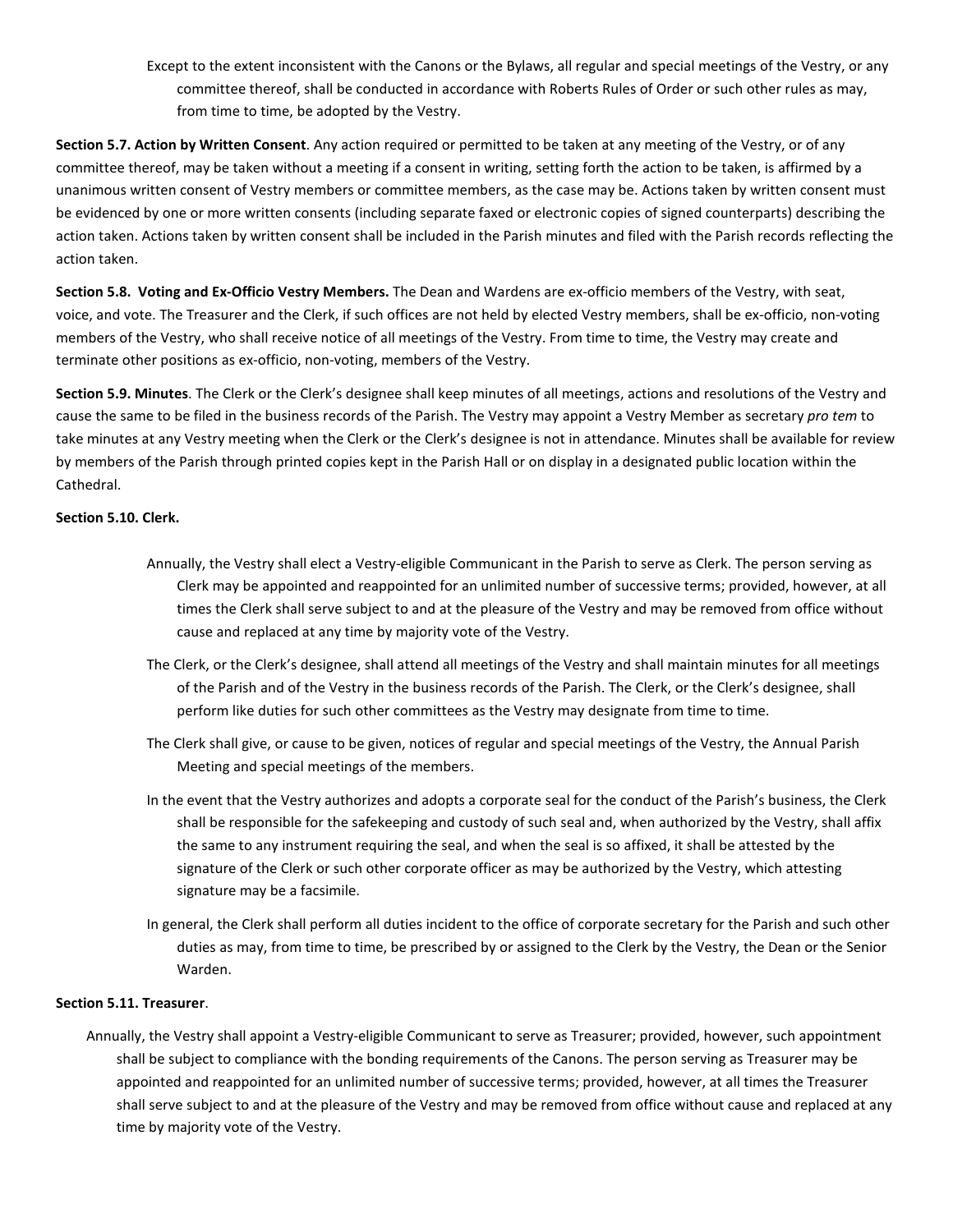Except to the extent inconsistent with the Canons or the Bylaws, all regular and special meetings of the Vestry, or any committee thereof, shall be conducted in accordance with Roberts Rules of Order or such other rules as may, from time to time, be adopted by the Vestry.

**Section 5.7. Action by Written Consent**. Any action required or permitted to be taken at any meeting of the Vestry, or of any committee thereof, may be taken without a meeting if a consent in writing, setting forth the action to be taken, is affirmed by a unanimous written consent of Vestry members or committee members, as the case may be. Actions taken by written consent must be evidenced by one or more written consents (including separate faxed or electronic copies of signed counterparts) describing the action taken. Actions taken by written consent shall be included in the Parish minutes and filed with the Parish records reflecting the action taken.

**Section 5.8. Voting and Ex-Officio Vestry Members.** The Dean and Wardens are ex-officio members of the Vestry, with seat, voice, and vote. The Treasurer and the Clerk, if such offices are not held by elected Vestry members, shall be ex-officio, non-voting members of the Vestry, who shall receive notice of all meetings of the Vestry. From time to time, the Vestry may create and terminate other positions as ex-officio, non-voting, members of the Vestry.

**Section 5.9. Minutes**. The Clerk or the Clerk's designee shall keep minutes of all meetings, actions and resolutions of the Vestry and cause the same to be filed in the business records of the Parish. The Vestry may appoint a Vestry Member as secretary *pro tem* to take minutes at any Vestry meeting when the Clerk or the Clerk's designee is not in attendance. Minutes shall be available for review by members of the Parish through printed copies kept in the Parish Hall or on display in a designated public location within the Cathedral.

## **Section 5.10. Clerk.**

- Annually, the Vestry shall elect a Vestry-eligible Communicant in the Parish to serve as Clerk. The person serving as Clerk may be appointed and reappointed for an unlimited number of successive terms; provided, however, at all times the Clerk shall serve subject to and at the pleasure of the Vestry and may be removed from office without cause and replaced at any time by majority vote of the Vestry.
- The Clerk, or the Clerk's designee, shall attend all meetings of the Vestry and shall maintain minutes for all meetings of the Parish and of the Vestry in the business records of the Parish. The Clerk, or the Clerk's designee, shall perform like duties for such other committees as the Vestry may designate from time to time.
- The Clerk shall give, or cause to be given, notices of regular and special meetings of the Vestry, the Annual Parish Meeting and special meetings of the members.
- In the event that the Vestry authorizes and adopts a corporate seal for the conduct of the Parish's business, the Clerk shall be responsible for the safekeeping and custody of such seal and, when authorized by the Vestry, shall affix the same to any instrument requiring the seal, and when the seal is so affixed, it shall be attested by the signature of the Clerk or such other corporate officer as may be authorized by the Vestry, which attesting signature may be a facsimile.
- In general, the Clerk shall perform all duties incident to the office of corporate secretary for the Parish and such other duties as may, from time to time, be prescribed by or assigned to the Clerk by the Vestry, the Dean or the Senior Warden.

### **Section 5.11. Treasurer**.

Annually, the Vestry shall appoint a Vestry-eligible Communicant to serve as Treasurer; provided, however, such appointment shall be subject to compliance with the bonding requirements of the Canons. The person serving as Treasurer may be appointed and reappointed for an unlimited number of successive terms; provided, however, at all times the Treasurer shall serve subject to and at the pleasure of the Vestry and may be removed from office without cause and replaced at any time by majority vote of the Vestry.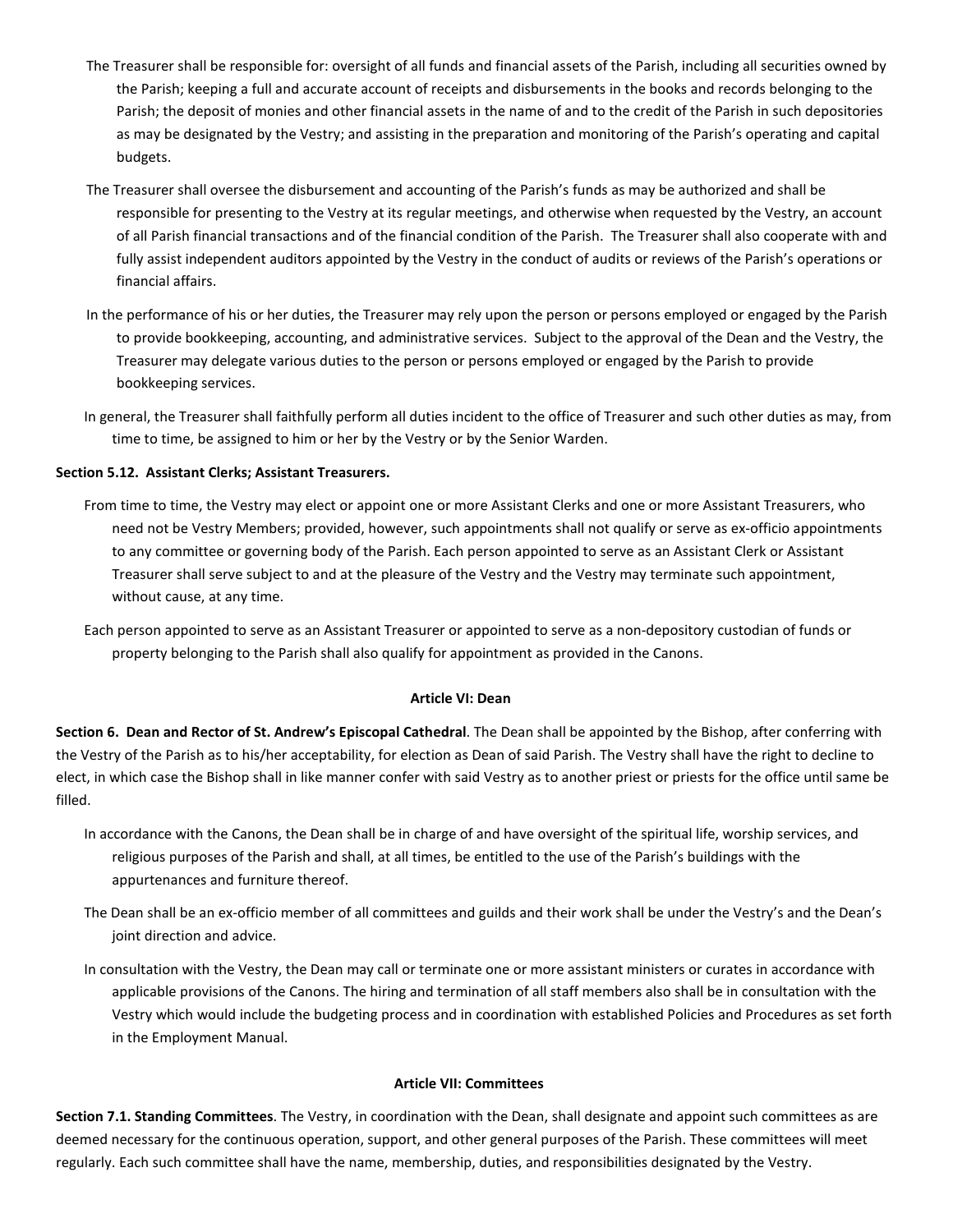- The Treasurer shall be responsible for: oversight of all funds and financial assets of the Parish, including all securities owned by the Parish; keeping a full and accurate account of receipts and disbursements in the books and records belonging to the Parish; the deposit of monies and other financial assets in the name of and to the credit of the Parish in such depositories as may be designated by the Vestry; and assisting in the preparation and monitoring of the Parish's operating and capital budgets.
- The Treasurer shall oversee the disbursement and accounting of the Parish's funds as may be authorized and shall be responsible for presenting to the Vestry at its regular meetings, and otherwise when requested by the Vestry, an account of all Parish financial transactions and of the financial condition of the Parish. The Treasurer shall also cooperate with and fully assist independent auditors appointed by the Vestry in the conduct of audits or reviews of the Parish's operations or financial affairs.
- In the performance of his or her duties, the Treasurer may rely upon the person or persons employed or engaged by the Parish to provide bookkeeping, accounting, and administrative services. Subject to the approval of the Dean and the Vestry, the Treasurer may delegate various duties to the person or persons employed or engaged by the Parish to provide bookkeeping services.
- In general, the Treasurer shall faithfully perform all duties incident to the office of Treasurer and such other duties as may, from time to time, be assigned to him or her by the Vestry or by the Senior Warden.

## **Section 5.12. Assistant Clerks; Assistant Treasurers.**

- From time to time, the Vestry may elect or appoint one or more Assistant Clerks and one or more Assistant Treasurers, who need not be Vestry Members; provided, however, such appointments shall not qualify or serve as ex-officio appointments to any committee or governing body of the Parish. Each person appointed to serve as an Assistant Clerk or Assistant Treasurer shall serve subject to and at the pleasure of the Vestry and the Vestry may terminate such appointment, without cause, at any time.
- Each person appointed to serve as an Assistant Treasurer or appointed to serve as a non-depository custodian of funds or property belonging to the Parish shall also qualify for appointment as provided in the Canons.

### **Article VI: Dean**

**Section 6. Dean and Rector of St. Andrew's Episcopal Cathedral**. The Dean shall be appointed by the Bishop, after conferring with the Vestry of the Parish as to his/her acceptability, for election as Dean of said Parish. The Vestry shall have the right to decline to elect, in which case the Bishop shall in like manner confer with said Vestry as to another priest or priests for the office until same be filled.

- In accordance with the Canons, the Dean shall be in charge of and have oversight of the spiritual life, worship services, and religious purposes of the Parish and shall, at all times, be entitled to the use of the Parish's buildings with the appurtenances and furniture thereof.
- The Dean shall be an ex-officio member of all committees and guilds and their work shall be under the Vestry's and the Dean's joint direction and advice.
- In consultation with the Vestry, the Dean may call or terminate one or more assistant ministers or curates in accordance with applicable provisions of the Canons. The hiring and termination of all staff members also shall be in consultation with the Vestry which would include the budgeting process and in coordination with established Policies and Procedures as set forth in the Employment Manual.

#### **Article VII: Committees**

**Section 7.1. Standing Committees**. The Vestry, in coordination with the Dean, shall designate and appoint such committees as are deemed necessary for the continuous operation, support, and other general purposes of the Parish. These committees will meet regularly. Each such committee shall have the name, membership, duties, and responsibilities designated by the Vestry.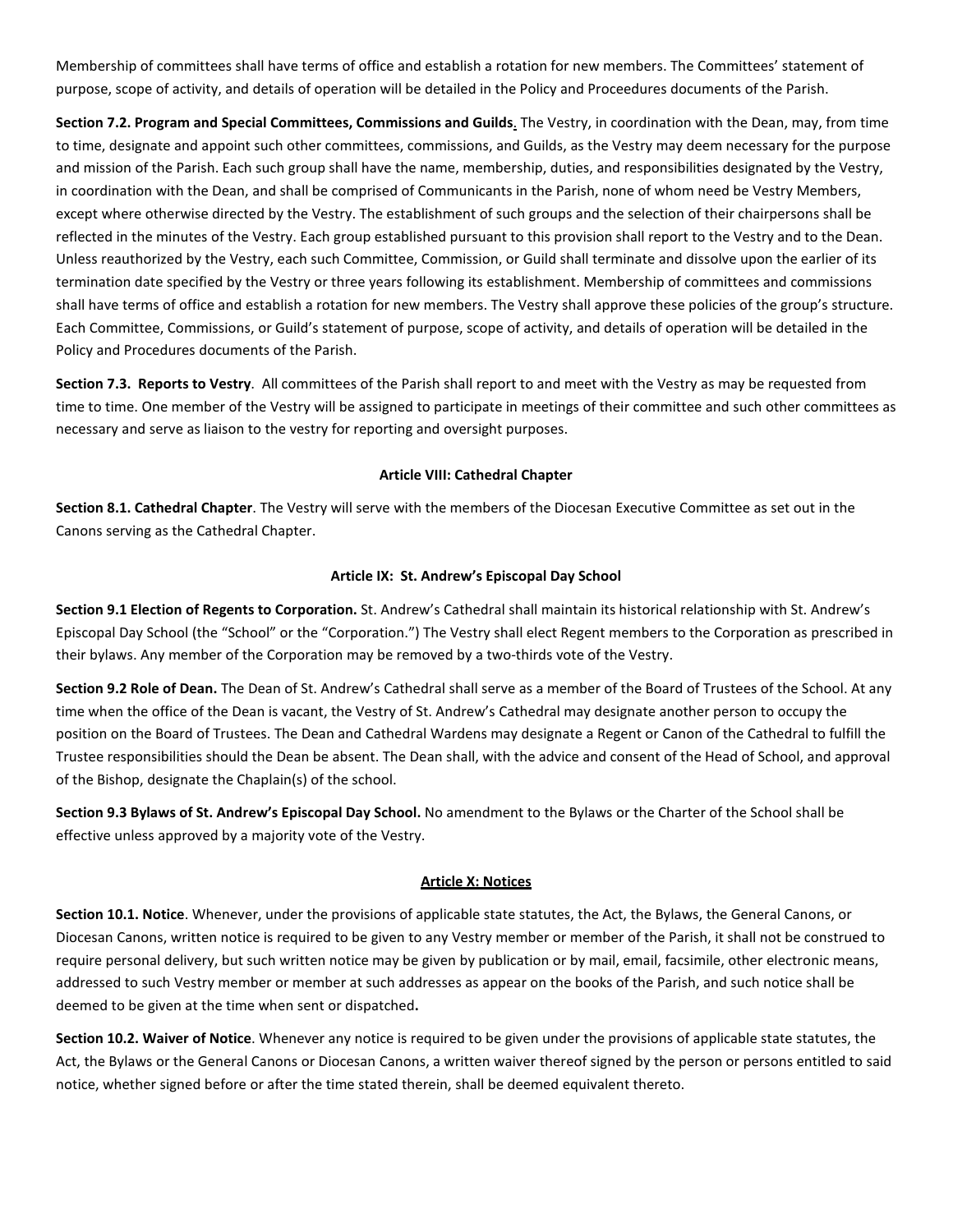Membership of committees shall have terms of office and establish a rotation for new members. The Committees' statement of purpose, scope of activity, and details of operation will be detailed in the Policy and Proceedures documents of the Parish.

**Section 7.2. Program and Special Committees, Commissions and Guilds**. The Vestry, in coordination with the Dean, may, from time to time, designate and appoint such other committees, commissions, and Guilds, as the Vestry may deem necessary for the purpose and mission of the Parish. Each such group shall have the name, membership, duties, and responsibilities designated by the Vestry, in coordination with the Dean, and shall be comprised of Communicants in the Parish, none of whom need be Vestry Members, except where otherwise directed by the Vestry. The establishment of such groups and the selection of their chairpersons shall be reflected in the minutes of the Vestry. Each group established pursuant to this provision shall report to the Vestry and to the Dean. Unless reauthorized by the Vestry, each such Committee, Commission, or Guild shall terminate and dissolve upon the earlier of its termination date specified by the Vestry or three years following its establishment. Membership of committees and commissions shall have terms of office and establish a rotation for new members. The Vestry shall approve these policies of the group's structure. Each Committee, Commissions, or Guild's statement of purpose, scope of activity, and details of operation will be detailed in the Policy and Procedures documents of the Parish.

**Section 7.3. Reports to Vestry**. All committees of the Parish shall report to and meet with the Vestry as may be requested from time to time. One member of the Vestry will be assigned to participate in meetings of their committee and such other committees as necessary and serve as liaison to the vestry for reporting and oversight purposes.

### **Article VIII: Cathedral Chapter**

**Section 8.1. Cathedral Chapter**. The Vestry will serve with the members of the Diocesan Executive Committee as set out in the Canons serving as the Cathedral Chapter.

#### **Article IX: St. Andrew's Episcopal Day School**

**Section 9.1 Election of Regents to Corporation.** St. Andrew's Cathedral shall maintain its historical relationship with St. Andrew's Episcopal Day School (the "School" or the "Corporation.") The Vestry shall elect Regent members to the Corporation as prescribed in their bylaws. Any member of the Corporation may be removed by a two-thirds vote of the Vestry.

**Section 9.2 Role of Dean.** The Dean of St. Andrew's Cathedral shall serve as a member of the Board of Trustees of the School. At any time when the office of the Dean is vacant, the Vestry of St. Andrew's Cathedral may designate another person to occupy the position on the Board of Trustees. The Dean and Cathedral Wardens may designate a Regent or Canon of the Cathedral to fulfill the Trustee responsibilities should the Dean be absent. The Dean shall, with the advice and consent of the Head of School, and approval of the Bishop, designate the Chaplain(s) of the school.

**Section 9.3 Bylaws of St. Andrew's Episcopal Day School.** No amendment to the Bylaws or the Charter of the School shall be effective unless approved by a majority vote of the Vestry.

#### **Article X: Notices**

**Section 10.1. Notice**. Whenever, under the provisions of applicable state statutes, the Act, the Bylaws, the General Canons, or Diocesan Canons, written notice is required to be given to any Vestry member or member of the Parish, it shall not be construed to require personal delivery, but such written notice may be given by publication or by mail, email, facsimile, other electronic means, addressed to such Vestry member or member at such addresses as appear on the books of the Parish, and such notice shall be deemed to be given at the time when sent or dispatched**.**

**Section 10.2. Waiver of Notice**. Whenever any notice is required to be given under the provisions of applicable state statutes, the Act, the Bylaws or the General Canons or Diocesan Canons, a written waiver thereof signed by the person or persons entitled to said notice, whether signed before or after the time stated therein, shall be deemed equivalent thereto.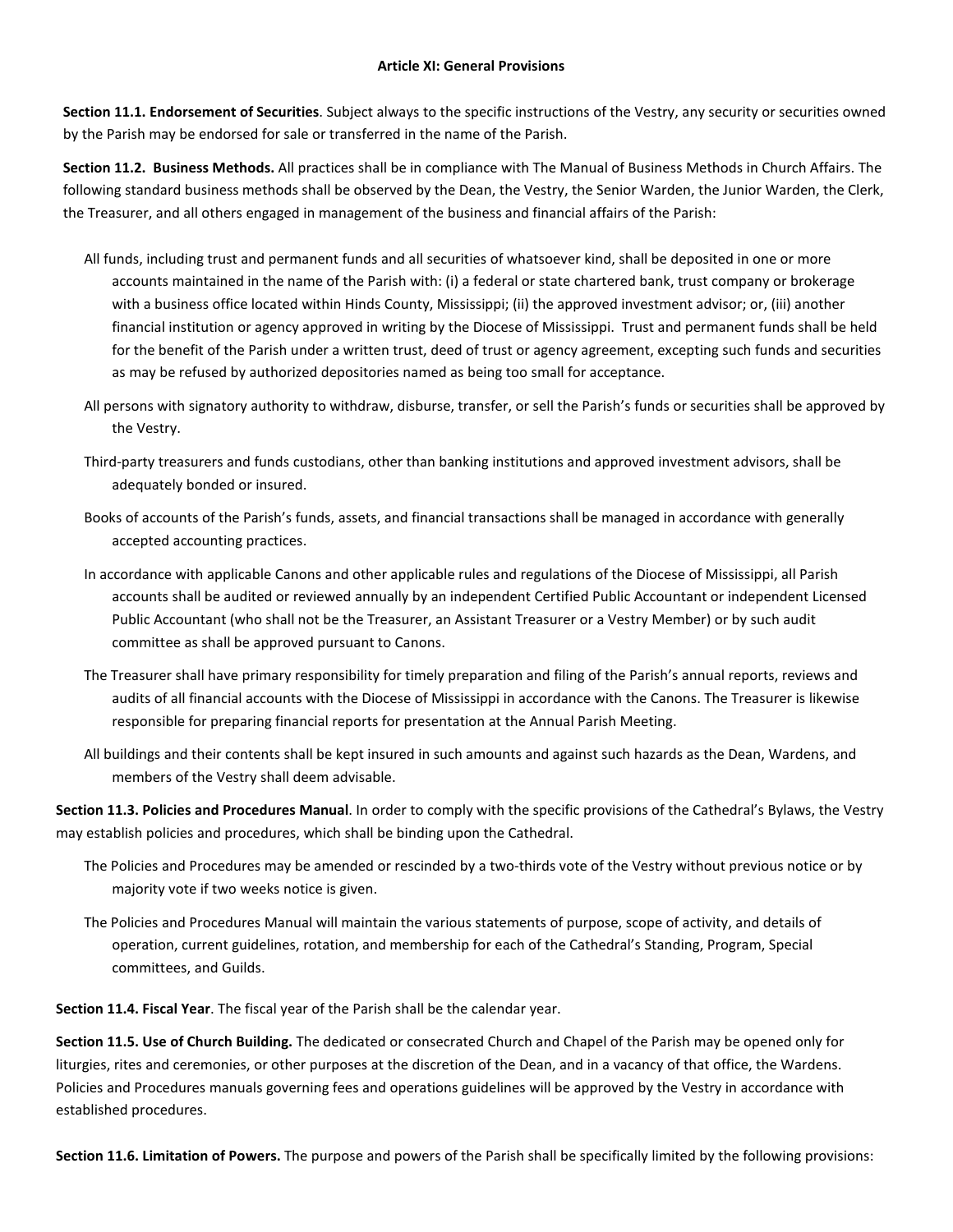**Section 11.1. Endorsement of Securities**. Subject always to the specific instructions of the Vestry, any security or securities owned by the Parish may be endorsed for sale or transferred in the name of the Parish.

**Section 11.2. Business Methods.** All practices shall be in compliance with The Manual of Business Methods in Church Affairs. The following standard business methods shall be observed by the Dean, the Vestry, the Senior Warden, the Junior Warden, the Clerk, the Treasurer, and all others engaged in management of the business and financial affairs of the Parish:

- All funds, including trust and permanent funds and all securities of whatsoever kind, shall be deposited in one or more accounts maintained in the name of the Parish with: (i) a federal or state chartered bank, trust company or brokerage with a business office located within Hinds County, Mississippi; (ii) the approved investment advisor; or, (iii) another financial institution or agency approved in writing by the Diocese of Mississippi. Trust and permanent funds shall be held for the benefit of the Parish under a written trust, deed of trust or agency agreement, excepting such funds and securities as may be refused by authorized depositories named as being too small for acceptance.
- All persons with signatory authority to withdraw, disburse, transfer, or sell the Parish's funds or securities shall be approved by the Vestry.
- Third-party treasurers and funds custodians, other than banking institutions and approved investment advisors, shall be adequately bonded or insured.
- Books of accounts of the Parish's funds, assets, and financial transactions shall be managed in accordance with generally accepted accounting practices.
- In accordance with applicable Canons and other applicable rules and regulations of the Diocese of Mississippi, all Parish accounts shall be audited or reviewed annually by an independent Certified Public Accountant or independent Licensed Public Accountant (who shall not be the Treasurer, an Assistant Treasurer or a Vestry Member) or by such audit committee as shall be approved pursuant to Canons.
- The Treasurer shall have primary responsibility for timely preparation and filing of the Parish's annual reports, reviews and audits of all financial accounts with the Diocese of Mississippi in accordance with the Canons. The Treasurer is likewise responsible for preparing financial reports for presentation at the Annual Parish Meeting.
- All buildings and their contents shall be kept insured in such amounts and against such hazards as the Dean, Wardens, and members of the Vestry shall deem advisable.

**Section 11.3. Policies and Procedures Manual**. In order to comply with the specific provisions of the Cathedral's Bylaws, the Vestry may establish policies and procedures, which shall be binding upon the Cathedral.

- The Policies and Procedures may be amended or rescinded by a two-thirds vote of the Vestry without previous notice or by majority vote if two weeks notice is given.
- The Policies and Procedures Manual will maintain the various statements of purpose, scope of activity, and details of operation, current guidelines, rotation, and membership for each of the Cathedral's Standing, Program, Special committees, and Guilds.

**Section 11.4. Fiscal Year**. The fiscal year of the Parish shall be the calendar year.

**Section 11.5. Use of Church Building.** The dedicated or consecrated Church and Chapel of the Parish may be opened only for liturgies, rites and ceremonies, or other purposes at the discretion of the Dean, and in a vacancy of that office, the Wardens. Policies and Procedures manuals governing fees and operations guidelines will be approved by the Vestry in accordance with established procedures.

**Section 11.6. Limitation of Powers.** The purpose and powers of the Parish shall be specifically limited by the following provisions: